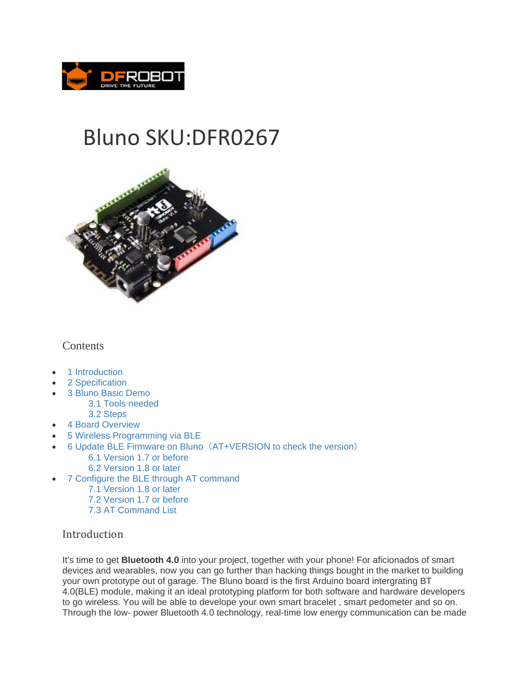

# Bluno SKU:DFR0267



## **Contents**

- 1 Introduction
- 2 Specification
- 3 Bluno Basic Demo
	- 3.1 Tools needed
	- 3.2 Steps
- 4 Board Overview
- 5 Wireless Programming via BLE
- 6 Update BLE Firmware on Bluno(AT+VERSION to check the version)
	- 6.1 Version 1.7 or before
	- 6.2 Version 1.8 or later
- 7 Configure the BLE through AT command
	- 7.1 Version 1.8 or later
	- 7.2 Version 1.7 or before
	- 7.3 AT Command List

# Introduction

It's time to get **Bluetooth 4.0** into your project, together with your phone! For aficionados of smart devices and wearables, now you can go further than hacking things bought in the market to building your own prototype out of garage. The Bluno board is the first Arduino board intergrating BT 4.0(BLE) module, making it an ideal prototyping platform for both software and hardware developers to go wireless. You will be able to develope your own smart bracelet , smart pedometer and so on. Through the low- power Bluetooth 4.0 technology, real-time low energy communication can be made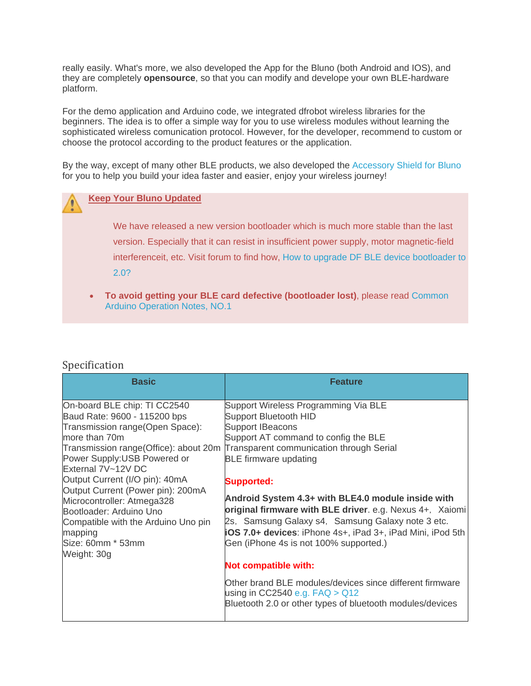really easily. What's more, we also developed the App for the Bluno (both Android and IOS), and they are completely **opensource**, so that you can modify and develope your own BLE-hardware platform.

For the demo application and Arduino code, we integrated dfrobot wireless libraries for the beginners. The idea is to offer a simple way for you to use wireless modules without learning the sophisticated wireless comunication protocol. However, for the developer, recommend to custom or choose the protocol according to the product features or the application.

By the way, except of many other BLE products, we also developed the Accessory Shield for Bluno for you to help you build your idea faster and easier, enjoy your wireless journey!

#### **Keep Your Bluno Updated**

We have released a new version bootloader which is much more stable than the last version. Especially that it can resist in insufficient power supply, motor magnetic-field interferenceit, etc. Visit forum to find how, How to upgrade DF BLE device bootloader to 2.0?

 **To avoid getting your BLE card defective (bootloader lost)**, please read Common Arduino Operation Notes, NO.1

#### Specification

| <b>Basic</b>                                                                                                                      | <b>Feature</b>                                                                                                                                                      |
|-----------------------------------------------------------------------------------------------------------------------------------|---------------------------------------------------------------------------------------------------------------------------------------------------------------------|
| On-board BLE chip: TI CC2540<br>Baud Rate: 9600 - 115200 bps                                                                      | Support Wireless Programming Via BLE<br><b>Support Bluetooth HID</b>                                                                                                |
| Transmission range(Open Space):                                                                                                   | <b>Support IBeacons</b>                                                                                                                                             |
| more than 70m                                                                                                                     | Support AT command to config the BLE                                                                                                                                |
| Transmission range(Office): about 20m<br>Power Supply: USB Powered or<br>External 7V~12V DC                                       | Transparent communication through Serial<br><b>BLE</b> firmware updating                                                                                            |
| Output Current (I/O pin): 40mA                                                                                                    | <b>Supported:</b>                                                                                                                                                   |
| Output Current (Power pin): 200mA<br>Microcontroller: Atmega328<br>Bootloader: Arduino Uno<br>Compatible with the Arduino Uno pin | Android System 4.3+ with BLE4.0 module inside with<br>original firmware with BLE driver. e.g. Nexus 4+, Xaiomi<br>2s, Samsung Galaxy s4, Samsung Galaxy note 3 etc. |
| mapping<br>Size: 60mm * 53mm<br>Weight: 30g                                                                                       | iOS 7.0+ devices: iPhone 4s+, iPad 3+, iPad Mini, iPod 5th<br>Gen (iPhone 4s is not 100% supported.)                                                                |
|                                                                                                                                   | Not compatible with:                                                                                                                                                |
|                                                                                                                                   | Other brand BLE modules/devices since different firmware<br>using in CC2540 e.g. $FAQ > Q12$<br>Bluetooth 2.0 or other types of bluetooth modules/devices           |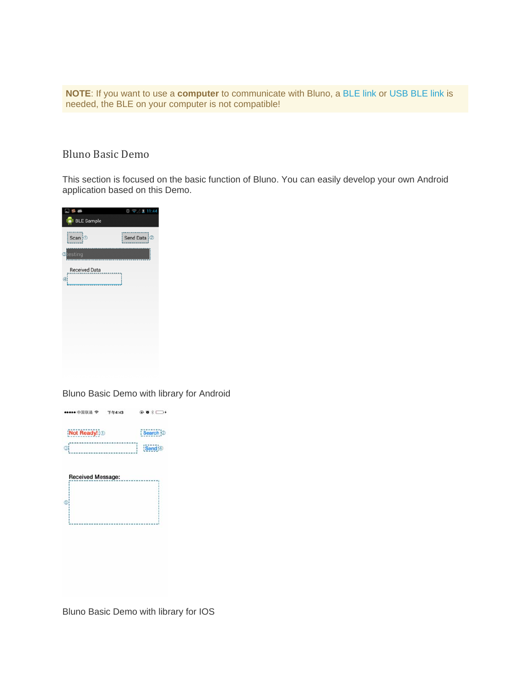**NOTE**: If you want to use a **computer** to communicate with Bluno, a BLE link or USB BLE link is needed, the BLE on your computer is not compatible!

## Bluno Basic Demo

This section is focused on the basic function of Bluno. You can easily develop your own Android application based on this Demo.

| 5 <sub>0</sub><br><b>D</b> I BLE Sample | $0 \sqrt{211344}$ |
|-----------------------------------------|-------------------|
| Scan : 1                                | Send Data   2     |
| stesting                                |                   |
| <b>Received Data</b><br>Ø)              |                   |
|                                         |                   |
|                                         |                   |
|                                         |                   |
|                                         |                   |
|                                         |                   |

Bluno Basic Demo with library for Android

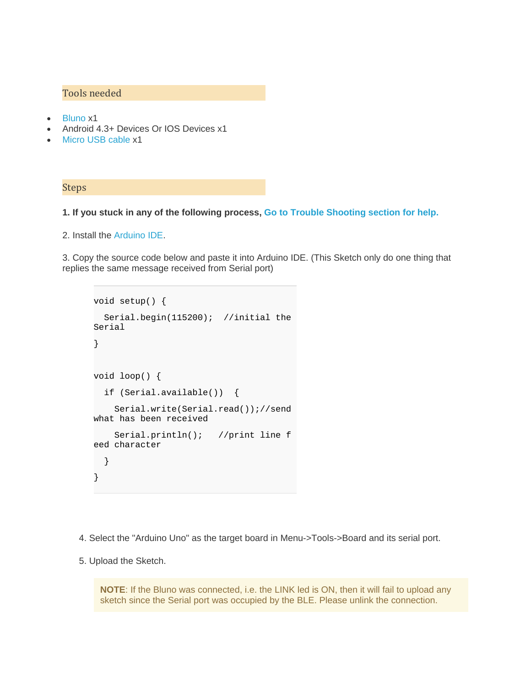## Tools needed

- Bluno x1
- Android 4.3+ Devices Or IOS Devices x1
- Micro USB cable x1

#### Steps

#### **1. If you stuck in any of the following process, Go to Trouble Shooting section for help.**

2. Install the Arduino IDE.

3. Copy the source code below and paste it into Arduino IDE. (This Sketch only do one thing that replies the same message received from Serial port)

```
void setup() { 
   Serial.begin(115200); //initial the 
Serial 
} 
void loop() { 
   if (Serial.available()) { 
     Serial.write(Serial.read());//send 
what has been received 
     Serial.println(); //print line f
eed character 
   } 
}
```
- 4. Select the "Arduino Uno" as the target board in Menu->Tools->Board and its serial port.
- 5. Upload the Sketch.

**NOTE**: If the Bluno was connected, i.e. the LINK led is ON, then it will fail to upload any sketch since the Serial port was occupied by the BLE. Please unlink the connection.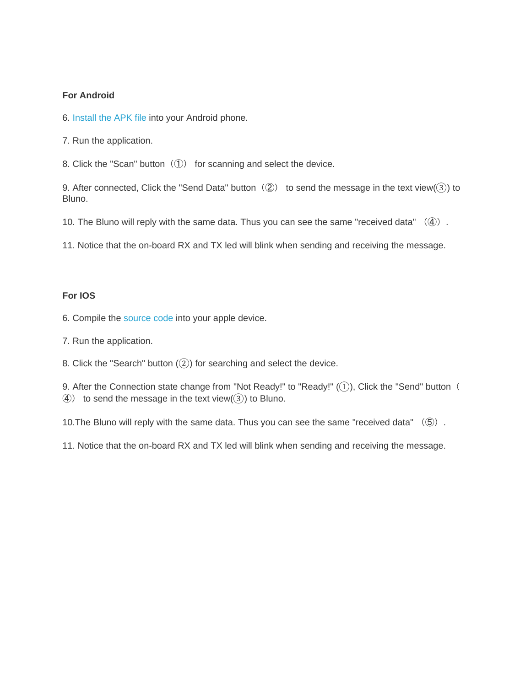#### **For Android**

- 6. Install the APK file into your Android phone.
- 7. Run the application.
- 8. Click the "Scan" button $(Q)$  for scanning and select the device.

9. After connected, Click the "Send Data" button  $(Q)$  to send the message in the text view( $(3)$ ) to Bluno.

10. The Bluno will reply with the same data. Thus you can see the same "received data" (4).

11. Notice that the on-board RX and TX led will blink when sending and receiving the message.

#### **For IOS**

6. Compile the source code into your apple device.

7. Run the application.

8. Click the "Search" button  $(2)$  for searching and select the device.

9. After the Connection state change from "Not Ready!" to "Ready!"  $(1)$ ), Click the "Send" button (  $\textcircled{4}$ ) to send the message in the text view( $\textcircled{3}$ ) to Bluno.

10. The Bluno will reply with the same data. Thus you can see the same "received data" (5).

11. Notice that the on-board RX and TX led will blink when sending and receiving the message.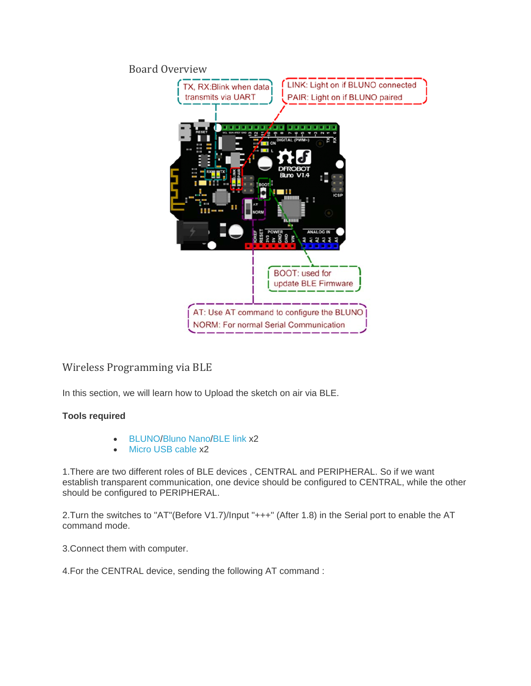## Board Overview



# Wireless Programming via BLE

In this section, we will learn how to Upload the sketch on air via BLE.

## **Tools required**

- BLUNO/Bluno Nano/BLE link x2
- Micro USB cable x2

1.There are two different roles of BLE devices , CENTRAL and PERIPHERAL. So if we want establish transparent communication, one device should be configured to CENTRAL, while the other should be configured to PERIPHERAL.

2.Turn the switches to "AT"(Before V1.7)/Input "+++" (After 1.8) in the Serial port to enable the AT command mode.

3.Connect them with computer.

4.For the CENTRAL device, sending the following AT command :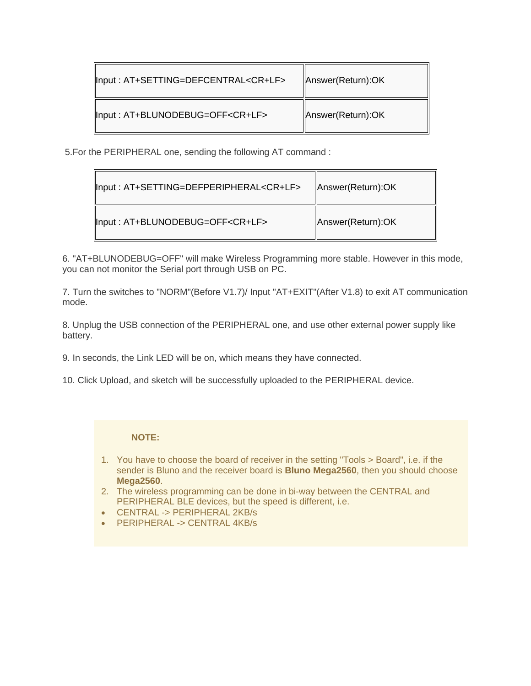| Input: AT+SETTING=DEFCENTRAL <cr+lf></cr+lf> | Answer(Return):OK |
|----------------------------------------------|-------------------|
| Input: AT+BLUNODEBUG=OFF <cr+lf></cr+lf>     | Answer(Return):OK |

5.For the PERIPHERAL one, sending the following AT command :

| Input: AT+SETTING=DEFPERIPHERAL <cr+lf></cr+lf> | Answer(Return):OK |
|-------------------------------------------------|-------------------|
| Input: AT+BLUNODEBUG=OFF <cr+lf></cr+lf>        | Answer(Return):OK |

6. "AT+BLUNODEBUG=OFF" will make Wireless Programming more stable. However in this mode, you can not monitor the Serial port through USB on PC.

7. Turn the switches to "NORM"(Before V1.7)/ Input "AT+EXIT"(After V1.8) to exit AT communication mode.

8. Unplug the USB connection of the PERIPHERAL one, and use other external power supply like battery.

9. In seconds, the Link LED will be on, which means they have connected.

10. Click Upload, and sketch will be successfully uploaded to the PERIPHERAL device.

#### **NOTE:**

- 1. You have to choose the board of receiver in the setting "Tools > Board", i.e. if the sender is Bluno and the receiver board is **Bluno Mega2560**, then you should choose **Mega2560**.
- 2. The wireless programming can be done in bi-way between the CENTRAL and PERIPHERAL BLE devices, but the speed is different, i.e.
- CENTRAL -> PERIPHERAL 2KB/s
- PERIPHERAL -> CENTRAL 4KB/s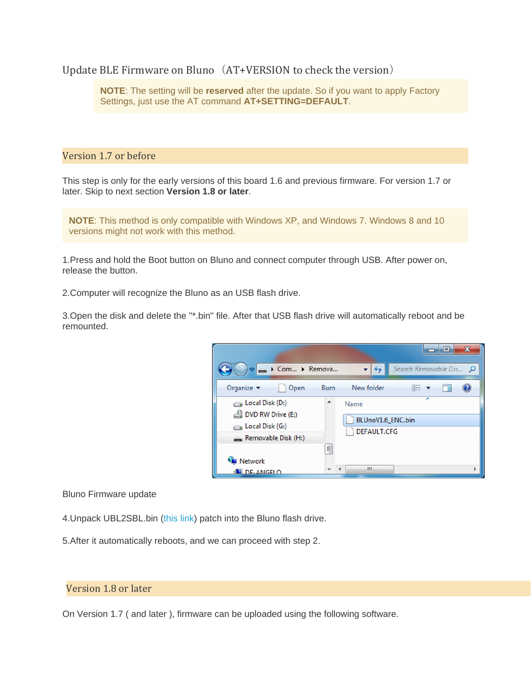Update BLE Firmware on Bluno  $(AT+VERSION$  to check the version)

**NOTE**: The setting will be **reserved** after the update. So if you want to apply Factory Settings, just use the AT command **AT+SETTING=DEFAULT**.

#### Version 1.7 or before

This step is only for the early versions of this board 1.6 and previous firmware. For version 1.7 or later. Skip to next section **Version 1.8 or later**.

**NOTE**: This method is only compatible with Windows XP, and Windows 7. Windows 8 and 10 versions might not work with this method.

1.Press and hold the Boot button on Bluno and connect computer through USB. After power on, release the button.

2.Computer will recognize the Bluno as an USB flash drive.

3.Open the disk and delete the "\*.bin" file. After that USB flash drive will automatically reboot and be remounted.



Bluno Firmware update

- 4.Unpack UBL2SBL.bin (this link) patch into the Bluno flash drive.
- 5.After it automatically reboots, and we can proceed with step 2.

#### Version 1.8 or later

On Version 1.7 ( and later ), firmware can be uploaded using the following software.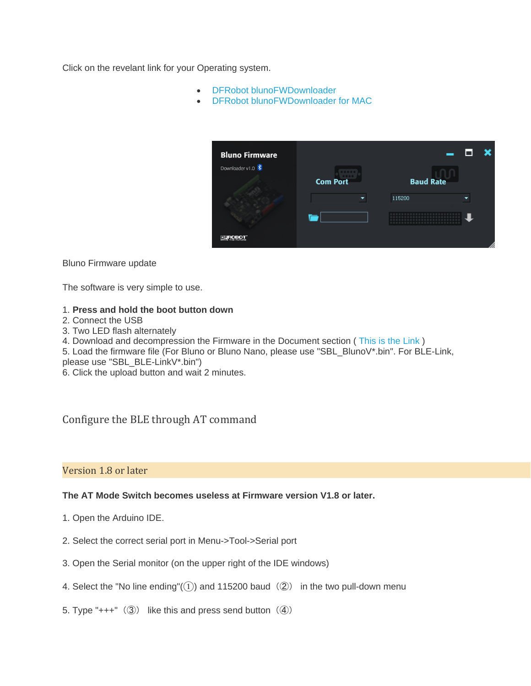Click on the revelant link for your Operating system.

- DFRobot blunoFWDownloader
- DFRobot blunoFWDownloader for MAC



#### Bluno Firmware update

The software is very simple to use.

#### 1. **Press and hold the boot button down**

- 2. Connect the USB
- 3. Two LED flash alternately

4. Download and decompression the Firmware in the Document section ( This is the Link )

5. Load the firmware file (For Bluno or Bluno Nano, please use "SBL\_BlunoV\*.bin". For BLE-Link,

please use "SBL\_BLE-LinkV\*.bin")

6. Click the upload button and wait 2 minutes.

# Configure the BLE through AT command

## Version 1.8 or later

## **The AT Mode Switch becomes useless at Firmware version V1.8 or later.**

- 1. Open the Arduino IDE.
- 2. Select the correct serial port in Menu->Tool->Serial port
- 3. Open the Serial monitor (on the upper right of the IDE windows)
- 4. Select the "No line ending" $(1)$  and 115200 baud  $(2)$  in the two pull-down menu
- 5. Type "+++"  $(③)$  like this and press send button  $(④)$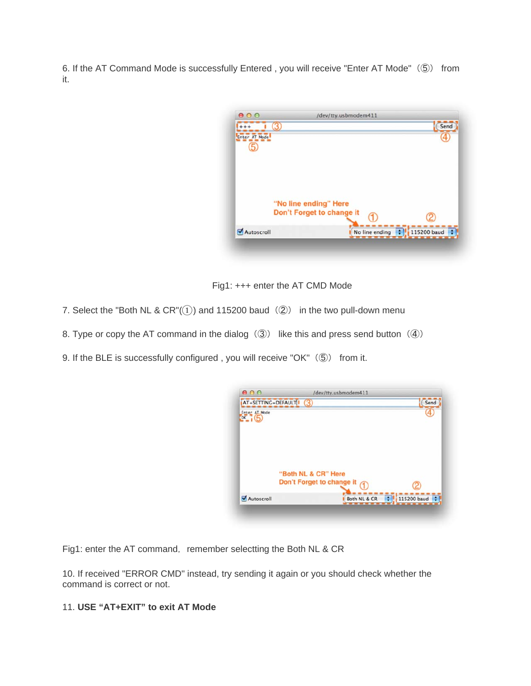6. If the AT Command Mode is successfully Entered , you will receive "Enter AT Mode"(⑤) from it.

| 000           | /dev/tty.usbmodem411<br>$\bf{3}$                   |                                  | Send |
|---------------|----------------------------------------------------|----------------------------------|------|
| Enter AT Mode |                                                    |                                  |      |
|               |                                                    |                                  |      |
|               | "No line ending" Here<br>Don't Forget to change it |                                  |      |
| Autoscroll    |                                                    | No line ending :   115200 baud : |      |

Fig1: +++ enter the AT CMD Mode

- 7. Select the "Both NL &  $CR''(1)$  and 115200 baud (2) in the two pull-down menu
- 8. Type or copy the AT command in the dialog  $\langle\textcircled{3}\rangle$  like this and press send button  $\langle\textcircled{4}\rangle$
- 9. If the BLE is successfully configured, you will receive "OK" (⑤) from it.

| AT+SETTING=DEFAULT <sup>1</sup> (3)<br>Enter AT Mode |                                                      | Send |
|------------------------------------------------------|------------------------------------------------------|------|
| $0K_{1}(5)$                                          |                                                      |      |
|                                                      |                                                      |      |
|                                                      | "Both NL & CR" Here<br>Don't Forget to change it (1) |      |
|                                                      |                                                      |      |
|                                                      |                                                      |      |

Fig1: enter the AT command, remember selectting the Both NL & CR

10. If received "ERROR CMD" instead, try sending it again or you should check whether the command is correct or not.

## 11. **USE "AT+EXIT" to exit AT Mode**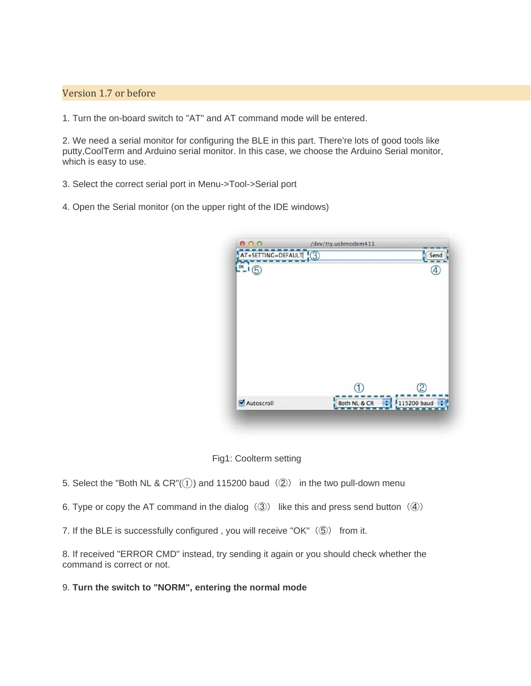## Version 1.7 or before

1. Turn the on-board switch to "AT" and AT command mode will be entered.

2. We need a serial monitor for configuring the BLE in this part. There're lots of good tools like putty,CoolTerm and Arduino serial monitor. In this case, we choose the Arduino Serial monitor, which is easy to use.

3. Select the correct serial port in Menu->Tool->Serial port

4. Open the Serial monitor (on the upper right of the IDE windows)



Fig1: Coolterm setting

5. Select the "Both NL & CR" $(1)$  and 115200 baud  $(2)$  in the two pull-down menu

6. Type or copy the AT command in the dialog  $\langle\textcircled{3}\rangle$  like this and press send button  $\langle\textcircled{4}\rangle$ 

7. If the BLE is successfully configured, you will receive "OK" (5) from it.

8. If received "ERROR CMD" instead, try sending it again or you should check whether the command is correct or not.

9. **Turn the switch to "NORM", entering the normal mode**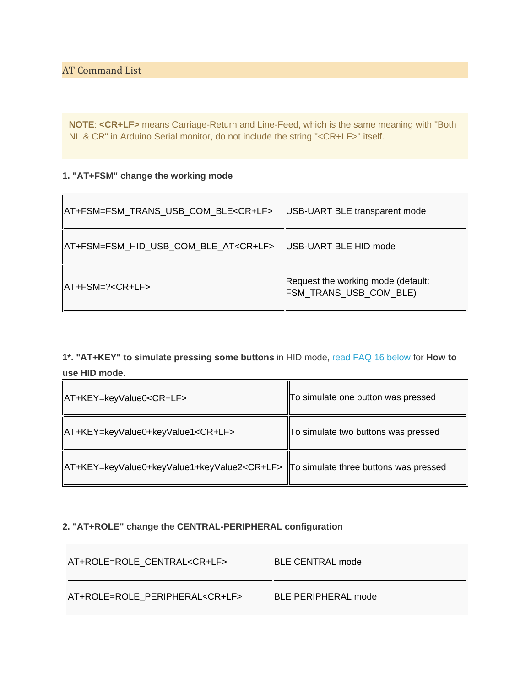**AT Command List** 

 $\overline{\phantom{a}}$ 

**NOTE**: **<CR+LF>** means Carriage-Return and Line-Feed, which is the same meaning with "Both NL & CR" in Arduino Serial monitor, do not include the string "<CR+LF>" itself.

#### **1. "AT+FSM" change the working mode**

| AT+FSM=FSM_TRANS_USB_COM_BLE <cr+lf></cr+lf>  | <b>USB-UART BLE transparent mode</b>                         |
|-----------------------------------------------|--------------------------------------------------------------|
| AT+FSM=FSM_HID_USB_COM_BLE_AT <cr+lf></cr+lf> | USB-UART BLE HID mode                                        |
| $ AT + FSM = ? < CR + LF >$                   | Request the working mode (default:<br>FSM_TRANS_USB_COM_BLE) |

**1\*. "AT+KEY" to simulate pressing some buttons** in HID mode, read FAQ 16 below for **How to use HID mode**.

 $\overline{\phantom{0}}$ 

 $\overline{\mathsf{L}}$ 

| AT+KEY=keyValue0 <cr+lf></cr+lf>                                                            | To simulate one button was pressed  |
|---------------------------------------------------------------------------------------------|-------------------------------------|
| AT+KEY=keyValue0+keyValue1 <cr+lf></cr+lf>                                                  | To simulate two buttons was pressed |
| AT+KEY=keyValue0+keyValue1+keyValue2 <cr+lf>  To simulate three buttons was pressed</cr+lf> |                                     |

#### **2. "AT+ROLE" change the CENTRAL-PERIPHERAL configuration**

| AT+ROLE=ROLE CENTRAL <cr+lf></cr+lf>    | <b>BLE CENTRAL mode</b> |
|-----------------------------------------|-------------------------|
| AT+ROLE=ROLE PERIPHERAL <cr+lf></cr+lf> | IBLE PERIPHERAL mode    |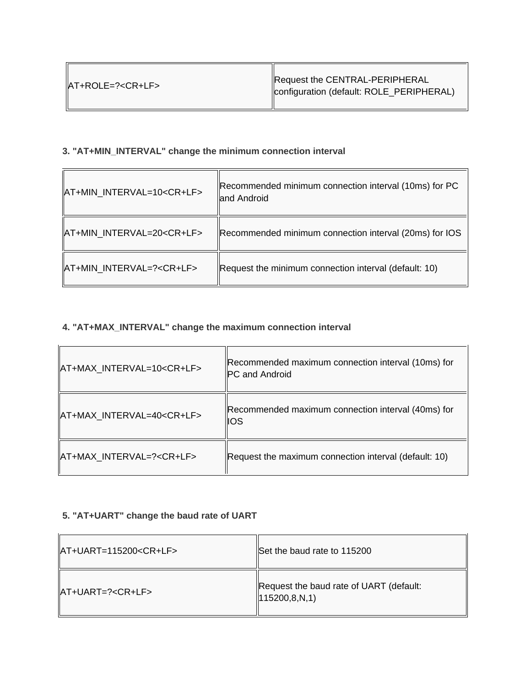$\overline{r}$ 

# **3. "AT+MIN\_INTERVAL" change the minimum connection interval**

| AT+MIN_INTERVAL=10 <cr+lf></cr+lf> | Recommended minimum connection interval (10ms) for PC<br>and Android |
|------------------------------------|----------------------------------------------------------------------|
| AT+MIN_INTERVAL=20 <cr+lf></cr+lf> | Recommended minimum connection interval (20ms) for IOS               |
| AT+MIN INTERVAL=? <cr+lf></cr+lf>  | Request the minimum connection interval (default: 10)                |

## **4. "AT+MAX\_INTERVAL" change the maximum connection interval**

| AT+MAX INTERVAL=10 <cr+lf></cr+lf> | Recommended maximum connection interval (10ms) for<br>PC and Android |
|------------------------------------|----------------------------------------------------------------------|
| AT+MAX_INTERVAL=40 <cr+lf></cr+lf> | Recommended maximum connection interval (40ms) for<br><b>IOS</b>     |
| AT+MAX INTERVAL=? <cr+lf></cr+lf>  | Request the maximum connection interval (default: 10)                |

# **5. "AT+UART" change the baud rate of UART**

| $\vert$ AT+UART=115200 <cr+lf></cr+lf> | Set the baud rate to 115200                                      |
|----------------------------------------|------------------------------------------------------------------|
| $\vert$ AT+UART=? <cr+lf></cr+lf>      | Request the baud rate of UART (default:<br>$\vert$ 115200,8,N,1) |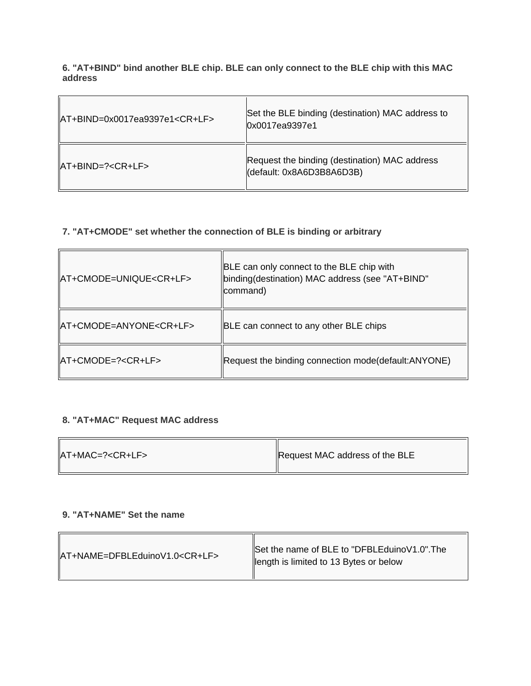**6. "AT+BIND" bind another BLE chip. BLE can only connect to the BLE chip with this MAC address**

| $\text{A}$ T+BIND=0x0017ea9397e1 <cr+lf></cr+lf> | Set the BLE binding (destination) MAC address to<br>  0x0017ea9397e1       |
|--------------------------------------------------|----------------------------------------------------------------------------|
| $IAT + BIND = ? < CR + LF >$                     | Request the binding (destination) MAC address<br>(default: 0x8A6D3B8A6D3B) |

## **7. "AT+CMODE" set whether the connection of BLE is binding or arbitrary**

| AT+CMODE=UNIQUE <cr+lf></cr+lf>                                   | BLE can only connect to the BLE chip with<br>binding(destination) MAC address (see "AT+BIND"<br>command) |
|-------------------------------------------------------------------|----------------------------------------------------------------------------------------------------------|
| AT+CMODE=ANYONE <cr+lf></cr+lf>                                   | BLE can connect to any other BLE chips                                                                   |
| $\textsf{IAT+CMODE}=\textsf{?}\textsf{<}\textsf{CR+LF}\textsf{>}$ | Request the binding connection mode(default:ANYONE)                                                      |

# **8. "AT+MAC" Request MAC address**

| $ AT+MAC=? < CR+LF>$ | Request MAC address of the BLE |
|----------------------|--------------------------------|
|----------------------|--------------------------------|

#### **9. "AT+NAME" Set the name**

 $\overline{\phantom{a}}$ 

 $\overline{a}$ 

| AT+NAME=DFBLEduinoV1.0 <cr+lf></cr+lf> | Set the name of BLE to "DFBLEduino V1.0". The<br>  ength is limited to 13 Bytes or below |
|----------------------------------------|------------------------------------------------------------------------------------------|
|                                        |                                                                                          |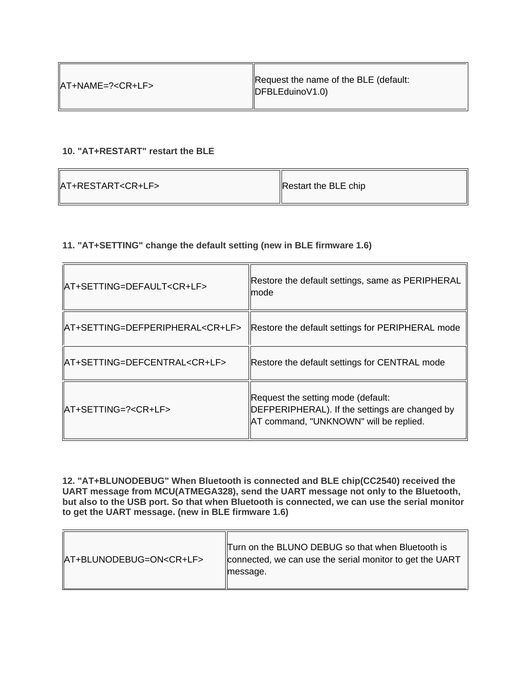## **10. "AT+RESTART" restart the BLE**

| AT+RESTART <cr+lf></cr+lf> |  |
|----------------------------|--|
|                            |  |

匠

Restart the BLE chip

## **11. "AT+SETTING" change the default setting (new in BLE firmware 1.6)**

| AT+SETTING=DEFAULT <cr+lf></cr+lf>       | Restore the default settings, same as PERIPHERAL<br>mode                                                                       |
|------------------------------------------|--------------------------------------------------------------------------------------------------------------------------------|
| AT+SETTING=DEFPERIPHERAL <cr+lf></cr+lf> | Restore the default settings for PERIPHERAL mode                                                                               |
| AT+SETTING=DEFCENTRAL <cr+lf></cr+lf>    | Restore the default settings for CENTRAL mode                                                                                  |
| IAT+SETTING=? <cr+lf></cr+lf>            | Request the setting mode (default:<br>DEFPERIPHERAL). If the settings are changed by<br>AT command, "UNKNOWN" will be replied. |

**12. "AT+BLUNODEBUG" When Bluetooth is connected and BLE chip(CC2540) received the UART message from MCU(ATMEGA328), send the UART message not only to the Bluetooth, but also to the USB port. So that when Bluetooth is connected, we can use the serial monitor to get the UART message. (new in BLE firmware 1.6)**

|                                  | Turn on the BLUNO DEBUG so that when Bluetooth is        |
|----------------------------------|----------------------------------------------------------|
| AT+BLUNODEBUG=ON <cr+lf></cr+lf> | connected, we can use the serial monitor to get the UART |
|                                  | message.                                                 |
|                                  |                                                          |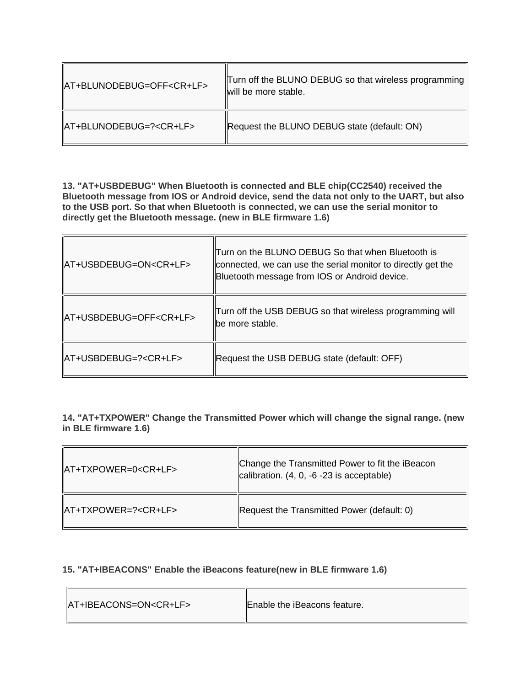| AT+BLUNODEBUG=OFF <cr+lf></cr+lf> | Turn off the BLUNO DEBUG so that wireless programming<br>will be more stable. |
|-----------------------------------|-------------------------------------------------------------------------------|
| AT+BLUNODEBUG=? <cr+lf></cr+lf>   | Request the BLUNO DEBUG state (default: ON)                                   |

 $\overline{1}$ 

 $\sqrt{2}$ 

 $\sqrt{2}$ 

**13. "AT+USBDEBUG" When Bluetooth is connected and BLE chip(CC2540) received the Bluetooth message from IOS or Android device, send the data not only to the UART, but also to the USB port. So that when Bluetooth is connected, we can use the serial monitor to directly get the Bluetooth message. (new in BLE firmware 1.6)**

| AT+USBDEBUG=ON <cr+lf></cr+lf>  | Turn on the BLUNO DEBUG So that when Bluetooth is<br>connected, we can use the serial monitor to directly get the<br>Bluetooth message from IOS or Android device. |
|---------------------------------|--------------------------------------------------------------------------------------------------------------------------------------------------------------------|
| AT+USBDEBUG=OFF <cr+lf></cr+lf> | Turn off the USB DEBUG so that wireless programming will<br>lbe more stable.                                                                                       |
| AT+USBDEBUG=? <cr+lf></cr+lf>   | Request the USB DEBUG state (default: OFF)                                                                                                                         |

**14. "AT+TXPOWER" Change the Transmitted Power which will change the signal range. (new in BLE firmware 1.6)**

| AT+TXPOWER=0 <cr+lf></cr+lf> | Change the Transmitted Power to fit the iBeacon<br>calibration. (4, 0, -6 -23 is acceptable) |
|------------------------------|----------------------------------------------------------------------------------------------|
| AT+TXPOWER=? <cr+lf></cr+lf> | Request the Transmitted Power (default: 0)                                                   |

## **15. "AT+IBEACONS" Enable the iBeacons feature(new in BLE firmware 1.6)**

| AT+IBEACONS=ON <cr+lf></cr+lf> | Enable the iBeacons feature. |
|--------------------------------|------------------------------|
|--------------------------------|------------------------------|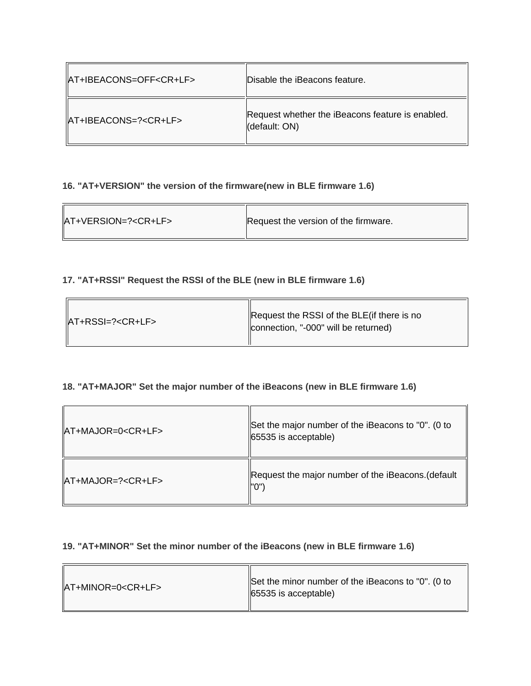| AT+IBEACONS=OFF <cr+lf></cr+lf> | Disable the iBeacons feature.                                     |
|---------------------------------|-------------------------------------------------------------------|
| IAT+IBEACONS=? <cr+lf></cr+lf>  | Request whether the iBeacons feature is enabled.<br>(default: ON) |

## **16. "AT+VERSION" the version of the firmware(new in BLE firmware 1.6)**

 $\overline{a}$ 

 $\overline{a}$ 

| $ AT+VERSION=? < CR+LF>$ | Request the version of the firmware. |
|--------------------------|--------------------------------------|
|--------------------------|--------------------------------------|

## **17. "AT+RSSI" Request the RSSI of the BLE (new in BLE firmware 1.6)**

| $ AT+RSS =? < CR+LF>$ | Request the RSSI of the BLE (if there is no<br>connection, "-000" will be returned) |
|-----------------------|-------------------------------------------------------------------------------------|
|-----------------------|-------------------------------------------------------------------------------------|

## **18. "AT+MAJOR" Set the major number of the iBeacons (new in BLE firmware 1.6)**

| $\vert$ AT+MAJOR=0 <cr+lf></cr+lf>                                | Set the major number of the iBeacons to "0". (0 to<br>65535 is acceptable) |
|-------------------------------------------------------------------|----------------------------------------------------------------------------|
| $\textsf{IAT+MAJOR}=\textsf{?}\textsf{<}\textsf{CR+LF}\textsf{>}$ | Request the major number of the iBeacons. (default<br>"O")                 |

## **19. "AT+MINOR" Set the minor number of the iBeacons (new in BLE firmware 1.6)**

| $\vert$ AT+MINOR=0 <cr+lf></cr+lf> | Set the minor number of the iBeacons to "0". (0 to<br>$ 65535 $ is acceptable) |
|------------------------------------|--------------------------------------------------------------------------------|
|------------------------------------|--------------------------------------------------------------------------------|